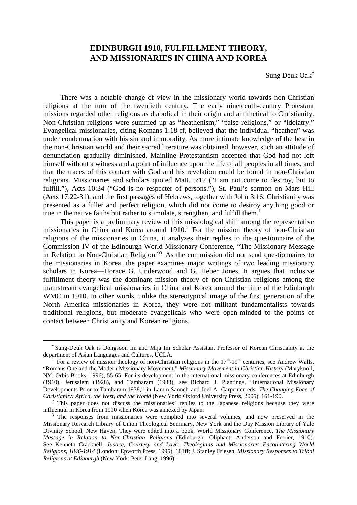# **EDINBURGH 1910, FULFILLMENT THEORY, AND MISSIONARIES IN CHINA AND KOREA**

Sung DeukOa[k](#page-0-0)

There was a notable change of view in the missionary world towards non-Christian religions at the turn of the twentieth century. The early nineteenth-century Protestant missions regarded other religions as diabolical in their origin and antithetical to Christianity. Non-Christian religions were summed up as "heathenism," "false religions," or "idolatry." Evangelical missionaries, citing Romans 1:18 ff, believed that the individual "heathen" was under condemnation with his sin and immorality. As more intimate knowledge of the best in the non-Christian world and their sacred literature was obtained, however, such an attitude of denunciation gradually diminished. Mainline Protestantism accepted that God had not left himself without a witness and a point of influence upon the life of all peoples in all times, and that the traces of this contact with God and his revelation could be found in non-Christian religions. Missionaries and scholars quoted Matt. 5:17 ("I am not come to destroy, but to fulfill."), Acts 10:34 ("God is no respecter of persons."), St. Paul's sermon on Mars Hill (Acts 17:22-31), and the first passages of Hebrews, together with John 3:16. Christianity was presented as a fuller and perfect religion, which did not come to destroy anything good or truein the native faiths but rather to stimulate, strengthen, and fulfill them[.](#page-0-1)<sup>1</sup>

This paper is a preliminary review of this missiological shift among the representative missionariesin China and Korea around 1910[.](#page-0-2)<sup>2</sup> For the mission theory of non-Christian religions of the missionaries in China, it analyzes their replies to the questionnaire of the Commission IV of the Edinburgh World Missionary Conference, "The Missionary Message in Relation to Non-Christian Religion."[3](#page-0-3) As the commission did not send questionnaires to the missionaries in Korea, the paper examines major writings of two leading missionary scholars in Korea—Horace G. Underwood and G. Heber Jones. It argues that inclusive fulfillment theory was the dominant mission theory of non-Christian religions among the mainstream evangelical missionaries in China and Korea around the time of the Edinburgh WMC in 1910. In other words, unlike the stereotypical image of the first generation of the North America missionaries in Korea, they were not militant fundamentalists towards traditional religions, but moderate evangelicals who were open-minded to the points of contact between Christianity and Korean religions.

<span id="page-0-0"></span>Sung-Deuk Oak is Dongsoon Im and Mija Im Scholar Assistant Professor of Korean Christianity at the department of Asian Languages and Cultures, UCLA.

<span id="page-0-1"></span><sup>1</sup> For a review of mission theology of non-Christian religions in the  $17<sup>th</sup>$ -19<sup>th</sup> centuries, see Andrew Walls, "Romans One and the Modern Missionary Movement," *Missionary Movement in Christian History* (Maryknoll, NY: Orbis Books, 1996), 55-65. For its development in the international missionary conferences at Edinburgh (1910), Jerusalem (1928), and Tambaram (1938), see Richard J. Plantinga, "International Missionary Developments Prior to Tambaram 1938," in Lamin Sanneh and Joel A. Carpenter eds. *The Changing Face of Christianity: Africa, the West, and the World* (New York: Oxford University Press, 2005), 161-190.

<span id="page-0-2"></span> $2$  This paper does not discuss the missionaries' replies to the Japanese religions because they were influential in Korea from 1910 when Korea was annexed by Japan.

<span id="page-0-3"></span><sup>&</sup>lt;sup>3</sup> The responses from missionaries were complied into several volumes, and now preserved in the Missionary Research Library of Union Theological Seminary, New York and the Day Mission Library of Yale Divinity School, New Haven. They were edited into a book, World Missionary Conference, *The Missionary Message in Relation to Non-Christian Religions* (Edinburgh: Oliphant, Anderson and Ferrier, 1910). See Kenneth Cracknell, *Justice, Courtesy and Love: Theologians and Missionaries Encountering World Religions, 1846-1914* (London: Epworth Press, 1995), 181ff; J. Stanley Friesen, *Missionary Responses to Tribal Religions at Edinburgh* (New York: Peter Lang, 1996).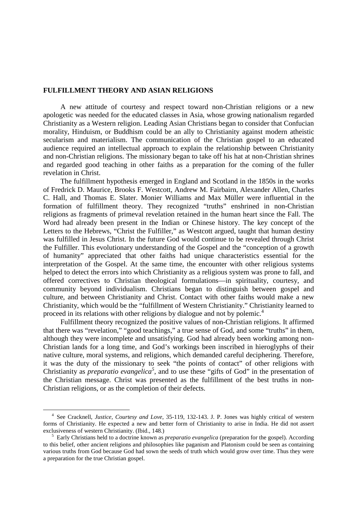## **FULFILLMENT THEORY AND ASIAN RELIGIONS**

A new attitude of courtesy and respect toward non-Christian religions or a new apologetic was needed for the educated classes in Asia, whose growing nationalism regarded Christianity as a Western religion. Leading Asian Christians began to consider that Confucian morality, Hinduism, or Buddhism could be an ally to Christianity against modern atheistic secularism and materialism. The communication of the Christian gospel to an educated audience required an intellectual approach to explain the relationship between Christianity and non-Christian religions. The missionary began to take off his hat at non-Christian shrines and regarded good teaching in other faiths as a preparation for the coming of the fuller revelation in Christ.

The fulfillment hypothesis emerged in England and Scotland in the 1850s in the works of Fredrick D. Maurice, Brooks F. Westcott, Andrew M. Fairbairn, Alexander Allen, Charles C. Hall, and Thomas E. Slater. Monier Williams and Max Müller were influential in the formation of fulfillment theory. They recognized "truths" enshrined in non-Christian religions as fragments of primeval revelation retained in the human heart since the Fall. The Word had already been present in the Indian or Chinese history. The key concept of the Letters to the Hebrews, "Christ the Fulfiller," as Westcott argued, taught that human destiny was fulfilled in Jesus Christ. In the future God would continue to be revealed through Christ the Fulfiller. This evolutionary understanding of the Gospel and the "conception of a growth of humanity" appreciated that other faiths had unique characteristics essential for the interpretation of the Gospel. At the same time, the encounter with other religious systems helped to detect the errors into which Christianity as a religious system was prone to fall, and offered correctives to Christian theological formulations—in spirituality, courtesy, and community beyond individualism. Christians began to distinguish between gospel and culture, and between Christianity and Christ. Contact with other faiths would make a new Christianity, which would be the "fulfillment of Western Christianity." Christianity learned to proceed in its relations with other religions by dialogue and not by polemic.<sup>[4](#page-1-0)</sup>

Fulfillment theory recognized the positive values of non-Christian religions. It affirmed that there was "revelation," "good teachings," a true sense of God, and some "truths" in them, although they were incomplete and unsatisfying. God had already been working among non-Christian lands for a long time, and God's workings been inscribed in hieroglyphs of their native culture, moral systems, and religions, which demanded careful deciphering. Therefore, it was the duty of the missionary to seek "the points of contact" of other religions with Christianity as *preparatio evangelica*<sup>[5](#page-1-1)</sup>, and to use these "gifts of God" in the presentation of the Christian message. Christ was presented as the fulfillment of the best truths in non-Christian religions, or as the completion of their defects.

<span id="page-1-0"></span><sup>4</sup> See Cracknell, *Justice, Courtesy and Love*, 35-119, 132-143. J. P. Jones was highly critical of western forms of Christianity. He expected a new and better form of Christianity to arise in India. He did not assert exclusiveness of western Christianity. (Ibid., 148.)

<span id="page-1-1"></span><sup>5</sup> Early Christians held to a doctrine known as *preparatio evangelica* (preparation for the gospel). According to this belief, other ancient religions and philosophies like paganism and Platonism could be seen as containing various truths from God because God had sown the seeds of truth which would grow over time. Thus they were a preparation for the true Christian gospel.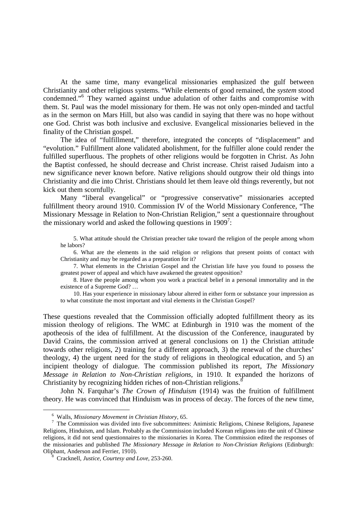At the same time, many evangelical missionaries emphasized the gulf between Christianity and other religious systems. "While elements of good remained, the *system* stood condemned."[6](#page-2-0) They warned against undue adulation of other faiths and compromise with them. St. Paul was the model missionary for them. He was not only open-minded and tactful as in the sermon on Mars Hill, but also was candid in saying that there was no hope without one God. Christ was both inclusive and exclusive. Evangelical missionaries believed in the finality of the Christian gospel.

The idea of "fulfillment," therefore, integrated the concepts of "displacement" and "evolution." Fulfillment alone validated abolishment, for the fulfiller alone could render the fulfilled superfluous. The prophets of other religions would be forgotten in Christ. As John the Baptist confessed, he should decrease and Christ increase. Christ raised Judaism into a new significance never known before. Native religions should outgrow their old things into Christianity and die into Christ. Christians should let them leave old things reverently, but not kick out them scornfully.

Many "liberal evangelical" or "progressive conservative" missionaries accepted fulfillment theory around 1910. Commission IV of the World Missionary Conference, "The Missionary Message in Relation to Non-Christian Religion," sent a questionnaire throughout themissionary world and asked the following questions in  $1909^7$  $1909^7$  $1909^7$ :

5. What attitude should the Christian preacher take toward the religion of the people among whom he labors?

6. What are the elements in the said religion or religions that present points of contact with Christianity and may be regarded as a preparation for it?

7. What elements in the Christian Gospel and the Christian life have you found to possess the greatest power of appeal and which have awakened the greatest opposition?

8. Have the people among whom you work a practical belief in a personal immortality and in the existence of a Supreme God? …

10. Has your experience in missionary labour altered in either form or substance your impression as to what constitute the most important and vital elements in the Christian Gospel?

These questions revealed that the Commission officially adopted fulfillment theory as its mission theology of religions. The WMC at Edinburgh in 1910 was the moment of the apotheosis of the idea of fulfillment. At the discussion of the Conference, inaugurated by David Crains, the commission arrived at general conclusions on 1) the Christian attitude towards other religions, 2) training for a different approach, 3) the renewal of the churches' theology, 4) the urgent need for the study of religions in theological education, and 5) an incipient theology of dialogue. The commission published its report, *The Missionary Message in Relation to Non-Christian religions*, in 1910. It expanded the horizons of Christianity by recognizing hidden riches of non-Christian religions.<sup>[8](#page-2-2)</sup>

John N. Farquhar's *The Crown of Hinduism* (1914) was the fruition of fulfillment theory. He was convinced that Hinduism was in process of decay. The forces of the new time,

<span id="page-2-1"></span><span id="page-2-0"></span><sup>6</sup> Walls, *Missionary Movement in Christian History*, 65.

<sup>7</sup> The Commission was divided into five subcommittees: Animistic Religions, Chinese Religions, Japanese Religions, Hinduism, and Islam. Probably as the Commission included Korean religions into the unit of Chinese religions, it did not send questionnaires to the missionaries in Korea. The Commission edited the responses of the missionaries and published *The Missionary Message in Relation to Non-Christian Religions* (Edinburgh: Oliphant, Anderson and Ferrier, 1910).

<span id="page-2-2"></span><sup>8</sup> Cracknell, *Justice, Courtesy and Love*, 253-260.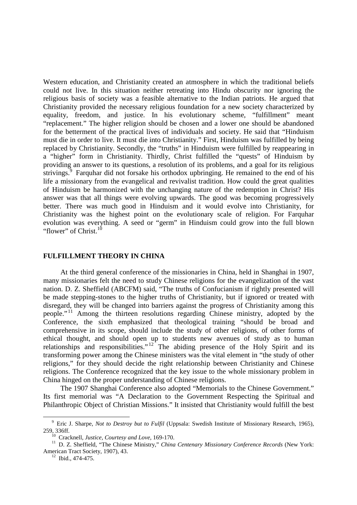Western education, and Christianity created an atmosphere in which the traditional beliefs could not live. In this situation neither retreating into Hindu obscurity nor ignoring the religious basis of society was a feasible alternative to the Indian patriots. He argued that Christianity provided the necessary religious foundation for a new society characterized by equality, freedom, and justice. In his evolutionary scheme, "fulfillment" meant "replacement." The higher religion should be chosen and a lower one should be abandoned for the betterment of the practical lives of individuals and society. He said that "Hinduism must die in order to live. It must die into Christianity." First, Hinduism was fulfilled by being replaced by Christianity. Secondly, the "truths" in Hinduism were fulfilled by reappearing in a "higher" form in Christianity. Thirdly, Christ fulfilled the "quests" of Hinduism by providing an answer to its questions, a resolution of its problems, and a goal for its religious strivings.<sup>[9](#page-3-0)</sup> Farquhar did not forsake his orthodox upbringing. He remained to the end of his life a missionary from the evangelical and revivalist tradition. How could the great qualities of Hinduism be harmonized with the unchanging nature of the redemption in Christ? His answer was that all things were evolving upwards. The good was becoming progressively better. There was much good in Hinduism and it would evolve into Christianity, for Christianity was the highest point on the evolutionary scale of religion. For Farquhar evolution was everything. A seed or "germ" in Hinduism could grow into the full blown "flower" of Christ. $^{10}$  $^{10}$  $^{10}$ 

### **FULFILLMENT THEORY IN CHINA**

At the third general conference of the missionaries in China, held in Shanghai in 1907, many missionaries felt the need to study Chinese religions for the evangelization of the vast nation. D. Z. Sheffield (ABCFM) said, "The truths of Confucianism if rightly presented will be made stepping-stones to the higher truths of Christianity, but if ignored or treated with disregard, they will be changed into barriers against the progress of Christianity among this people." [11](#page-3-2) Among the thirteen resolutions regarding Chinese ministry, adopted by the Conference, the sixth emphasized that theological training "should be broad and comprehensive in its scope, should include the study of other religions, of other forms of ethical thought, and should open up to students new avenues of study as to human relationships and responsibilities." $12^{\circ}$  $12^{\circ}$  The abiding presence of the Holy Spirit and its transforming power among the Chinese ministers was the vital element in "the study of other religions," for they should decide the right relationship between Christianity and Chinese religions. The Conference recognized that the key issue to the whole missionary problem in China hinged on the proper understanding of Chinese religions.

The 1907 Shanghai Conference also adopted "Memorials to the Chinese Government." Its first memorial was "A Declaration to the Government Respecting the Spiritual and Philanthropic Object of Christian Missions." It insisted that Christianity would fulfill the best

<span id="page-3-0"></span><sup>&</sup>lt;sup>9</sup> Eric J. Sharpe, *Not to Destroy but to Fulfil* (Uppsala: Swedish Institute of Missionary Research, 1965), 259, 336ff.

<span id="page-3-2"></span><span id="page-3-1"></span><sup>10</sup> Cracknell, *Justice, Courtesy and Love*, 169-170.

<sup>11</sup> D. Z. Sheffield, "The Chinese Ministry," *China Centenary Missionary Conference Records* (New York: American Tract Society, 1907), 43.

<span id="page-3-3"></span> $12$  Ibid., 474-475.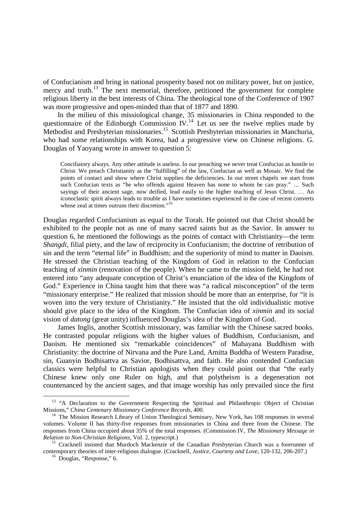of Confucianism and bring in national prosperity based not on military power, but on justice, mercy and truth.<sup>[13](#page-4-0)</sup> The next memorial, therefore, petitioned the government for complete religious liberty in the best interests of China. The theological tone of the Conference of 1907 was more progressive and open-minded than that of 1877 and 1890.

In the milieu of this missiological change, 35 missionaries in China responded to the questionnaireof the Edinburgh Commission IV[.](#page-4-1)<sup>14</sup> Let us see the twelve replies made by Methodist and Presbyterian missionaries.<sup>[15](#page-4-2)</sup> Scottish Presbyterian missionaries in Manchuria, who had some relationships with Korea, had a progressive view on Chinese religions. G. Douglas of Yaoyang wrote in answer to question 5:

Conciliatory always. Any other attitude is useless. In our preaching we never treat Confucius as hostile to Christ. We preach Christianity as the "fulfilling" of the law, Confucian as well as Mosaic. We find the points of contact and show where Christ supplies the deficiencies. In our street chapels we start from such Confucian texts as "he who offends against Heaven has none to whom he can pray." … Such sayings of their ancient sage, now deified, lead easily to the higher teaching of Jesus Christ. ... An iconoclastic spirit always leads to trouble as I have sometimes experienced in the case of recent converts whose zeal at times outruns their discretion."<sup>[16](#page-4-3)</sup>

Douglas regarded Confucianism as equal to the Torah. He pointed out that Christ should be exhibited to the people not as one of many sacred saints but as the Savior. In answer to question 6, he mentioned the followings as the points of contact with Christianity—the term *Shangdi*, filial piety, and the law of reciprocity in Confucianism; the doctrine of retribution of sin and the term "eternal life" in Buddhism; and the superiority of mind to matter in Daoism. He stressed the Christian teaching of the Kingdom of God in relation to the Confucian teaching of *xinmin* (renovation of the people). When he came to the mission field, he had not entered into "any adequate conception of Christ's enunciation of the idea of the Kingdom of God." Experience in China taught him that there was "a radical misconception" of the term "missionary enterprise." He realized that mission should be more than an enterprise, for "it is woven into the very texture of Christianity." He insisted that the old individualistic motive should give place to the idea of the Kingdom. The Confucian idea of *xinmin* and its social vision of *datong* (great unity) influenced Douglas's idea of the Kingdom of God.

James Inglis, another Scottish missionary, was familiar with the Chinese sacred books. He contrasted popular religions with the higher values of Buddhism, Confucianism, and Daoism. He mentioned six "remarkable coincidences" of Mahayana Buddhism with Christianity: the doctrine of Nirvana and the Pure Land, Amitta Buddha of Western Paradise, sin, Guanyin Bodhisattva as Savior, Bodhisattva, and faith. He also contended Confucian classics were helpful to Christian apologists when they could point out that "the early Chinese knew only one Ruler on high, and that polytheism is a degeneration not countenanced by the ancient sages, and that image worship has only prevailed since the first

<span id="page-4-0"></span><sup>&</sup>lt;sup>13</sup> "A Declaration to the Government Respecting the Spiritual and Philanthropic Object of Christian Missions," *China Centenary Missionary Conference Records*, 400.

<span id="page-4-1"></span><sup>&</sup>lt;sup>14</sup> The Mission Research Library of Union Theological Seminary, New York, has 108 responses in several volumes. Volume II has thirty-five responses from missionaries in China and three from the Chinese. The responses from China occupied about 35% of the total responses. (Commission IV, *The Missionary Message in Relation to Non-Christian Religions*, Vol. 2, typescript.)

<span id="page-4-2"></span><sup>&</sup>lt;sup>15</sup> Cracknell insisted that Murdoch Mackenzie of the Canadian Presbyterian Church was a forerunner of contemporary theories of inter-religious dialogue. (Cracknell, *Justice, Courtesy and Love*, 120-132, 206-207.)

<span id="page-4-3"></span> $\frac{16}{16}$  Douglas, "Response," 6.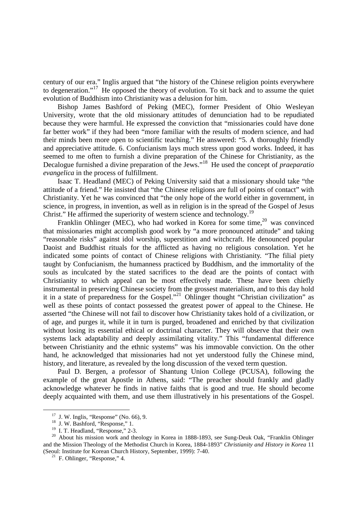century of our era." Inglis argued that "the history of the Chinese religion points everywhere to degeneration."[17](#page-5-0) He opposed the theory of evolution. To sit back and to assume the quiet evolution of Buddhism into Christianity was a delusion for him.

Bishop James Bashford of Peking (MEC), former President of Ohio Wesleyan University, wrote that the old missionary attitudes of denunciation had to be repudiated because they were harmful. He expressed the conviction that "missionaries could have done far better work" if they had been "more familiar with the results of modern science, and had their minds been more open to scientific teaching." He answered: "5. A thoroughly friendly and appreciative attitude. 6. Confucianism lays much stress upon good works. Indeed, it has seemed to me often to furnish a divine preparation of the Chinese for Christianity, as the Decalogue furnished a divine preparation of the Jews."[18](#page-5-1) He used the concept of *praeparatio evangelica* in the process of fulfillment.

Isaac T. Headland (MEC) of Peking University said that a missionary should take "the attitude of a friend." He insisted that "the Chinese religions are full of points of contact" with Christianity. Yet he was convinced that "the only hope of the world either in government, in science, in progress, in invention, as well as in religion is in the spread of the Gospel of Jesus Christ." He affirmed the superiority of western science and technology.<sup>[19](#page-5-2)</sup>

FranklinOhlinger (MEC)[,](#page-5-3) who had worked in Korea for some time, $^{20}$  was convinced that missionaries might accomplish good work by "a more pronounced attitude" and taking "reasonable risks" against idol worship, superstition and witchcraft. He denounced popular Daoist and Buddhist rituals for the afflicted as having no religious consolation. Yet he indicated some points of contact of Chinese religions with Christianity. "The filial piety taught by Confucianism, the humanness practiced by Buddhism, and the immortality of the souls as inculcated by the stated sacrifices to the dead are the points of contact with Christianity to which appeal can be most effectively made. These have been chiefly instrumental in preserving Chinese society from the grossest materialism, and to this day hold it in a state of preparedness for the Gospel."<sup>[21](#page-5-4)</sup> Ohlinger thought "Christian civilization" as well as these points of contact possessed the greatest power of appeal to the Chinese. He asserted "the Chinese will not fail to discover how Christianity takes hold of a civilization, or of age, and purges it, while it in turn is purged, broadened and enriched by that civilization without losing its essential ethical or doctrinal character. They will observe that their own systems lack adaptability and deeply assimilating vitality." This "fundamental difference between Christianity and the ethnic systems" was his immovable conviction. On the other hand, he acknowledged that missionaries had not yet understood fully the Chinese mind, history, and literature, as revealed by the long discussion of the vexed term question.

Paul D. Bergen, a professor of Shantung Union College (PCUSA), following the example of the great Apostle in Athens, said: "The preacher should frankly and gladly acknowledge whatever he finds in native faiths that is good and true. He should become deeply acquainted with them, and use them illustratively in his presentations of the Gospel.

<span id="page-5-0"></span> $17$  J. W. Inglis, "Response" (No. 66), 9.

<span id="page-5-1"></span><sup>&</sup>lt;sup>18</sup> J. W. Bashford, "Response," 1.

<span id="page-5-3"></span><span id="page-5-2"></span> $19$  I. T. Headland, "Response," 2-3.

<sup>&</sup>lt;sup>20</sup> About his mission work and theology in Korea in 1888-1893, see Sung-Deuk Oak, "Franklin Ohlinger and the Mission Theology of the Methodist Church in Korea, 1884-1893" *Christianity and History in Korea* 11 (Seoul: Institute for Korean Church History, September, 1999): 7-40.

<span id="page-5-4"></span> $21$  F. Ohlinger, "Response," 4.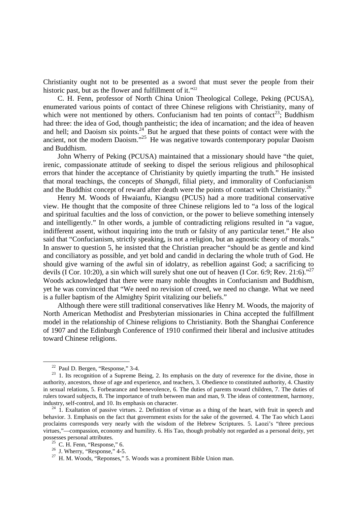Christianity ought not to be presented as a sword that must sever the people from their historicpast, but as the flower and fulfillment of it.["](#page-6-0)<sup>22</sup>

C. H. Fenn, professor of North China Union Theological College, Peking (PCUSA), enumerated various points of contact of three Chinese religions with Christianity, many of which were not mentioned by others. Confucianism had ten points of contact<sup>[23](#page-6-1)</sup>; Buddhism had three: the idea of God, though pantheistic; the idea of incarnation; and the idea of heaven and hell; and Daoism six points.<sup>[24](#page-6-2)</sup> But he argued that these points of contact were with the ancient, not the modern Daoism."<sup>[25](#page-6-3)</sup> He was negative towards contemporary popular Daoism and Buddhism.

John Wherry of Peking (PCUSA) maintained that a missionary should have "the quiet, irenic, compassionate attitude of seeking to dispel the serious religious and philosophical errors that hinder the acceptance of Christianity by quietly imparting the truth." He insisted that moral teachings, the concepts of *Shangdi*, filial piety, and immorality of Confucianism and the Buddhist concept of reward after death were the points of contact with Christianity.<sup>[26](#page-6-4)</sup>

Henry M. Woods of Hwaianfu, Kiangsu (PCUS) had a more traditional conservative view. He thought that the composite of three Chinese religions led to "a loss of the logical and spiritual faculties and the loss of conviction, or the power to believe something intensely and intelligently." In other words, a jumble of contradicting religions resulted in "a vague, indifferent assent, without inquiring into the truth or falsity of any particular tenet." He also said that "Confucianism, strictly speaking, is not a religion, but an agnostic theory of morals." In answer to question 5, he insisted that the Christian preacher "should be as gentle and kind and conciliatory as possible, and yet bold and candid in declaring the whole truth of God. He should give warning of the awful sin of idolatry, as rebellion against God; a sacrificing to devils (I Cor. 10:20), a sin which will surely shut one out of heaven (I Cor. 6:9; Rev. 21:6)."<sup>[27](#page-6-5)</sup> Woods acknowledged that there were many noble thoughts in Confucianism and Buddhism, yet he was convinced that "We need no revision of creed, we need no change. What we need is a fuller baptism of the Almighty Spirit vitalizing our beliefs."

Although there were still traditional conservatives like Henry M. Woods, the majority of North American Methodist and Presbyterian missionaries in China accepted the fulfillment model in the relationship of Chinese religions to Christianity. Both the Shanghai Conference of 1907 and the Edinburgh Conference of 1910 confirmed their liberal and inclusive attitudes toward Chinese religions.

<span id="page-6-1"></span><span id="page-6-0"></span><sup>22</sup> Paul D. Bergen, "Response," 3-4.

<sup>&</sup>lt;sup>23</sup> 1. Its recognition of a Supreme Being, 2. Its emphasis on the duty of reverence for the divine, those in authority, ancestors, those of age and experience, and teachers, 3. Obedience to constituted authority, 4. Chastity in sexual relations, 5. Forbearance and benevolence, 6. The duties of parents toward children, 7. The duties of rulers toward subjects, 8. The importance of truth between man and man, 9. The ideas of contentment, harmony, industry, self-control, and 10. Its emphasis on character.

<span id="page-6-2"></span> $24$  1. Exaltation of passive virtues. 2. Definition of virtue as a thing of the heart, with fruit in speech and behavior. 3. Emphasis on the fact that government exists for the sake of the governed. 4. The Tao which Laozi proclaims corresponds very nearly with the wisdom of the Hebrew Scriptures. 5. Laozi's "three precious virtues,"—compassion, economy and humility. 6. His Tao, though probably not regarded as a personal deity, yet possesses personal attributes.

<span id="page-6-4"></span><span id="page-6-3"></span> $^{25}$  C. H. Fenn, "Response," 6.

 $26$  J. Wherry, "Response," 4-5.

<span id="page-6-5"></span> $27$  H. M. Woods, "Reponses," 5. Woods was a prominent Bible Union man.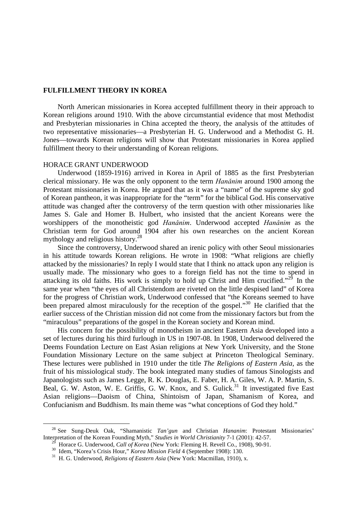### **FULFILLMENT THEORY IN KOREA**

North American missionaries in Korea accepted fulfillment theory in their approach to Korean religions around 1910. With the above circumstantial evidence that most Methodist and Presbyterian missionaries in China accepted the theory, the analysis of the attitudes of two representative missionaries—a Presbyterian H. G. Underwood and a Methodist G. H. Jones—towards Korean religions will show that Protestant missionaries in Korea applied fulfillment theory to their understanding of Korean religions.

#### HORACE GRANT UNDERWOOD

Underwood (1859-1916) arrived in Korea in April of 1885 as the first Presbyterian clerical missionary. He was the only opponent to the term *Hanǎnim* around 1900 among the Protestant missionaries in Korea. He argued that as it was a "name" of the supreme sky god of Korean pantheon, it was inappropriate for the "term" for the biblical God. His conservative attitude was changed after the controversy of the term question with other missionaries like James S. Gale and Homer B. Hulbert, who insisted that the ancient Koreans were the worshippers of the monotheistic god *Hanǎnim*. Underwood accepted *Hanǎnim* as the Christian term for God around 1904 after his own researches on the ancient Korean mythology and religious history.[28](#page-7-0)

Since the controversy, Underwood shared an irenic policy with other Seoul missionaries in his attitude towards Korean religions. He wrote in 1908: "What religions are chiefly attacked by the missionaries? In reply I would state that I think no attack upon any religion is usually made. The missionary who goes to a foreign field has not the time to spend in attacking its old faiths. His work is simply to hold up Christ and Him crucified."<sup>[29](#page-7-1)</sup> In the same year when "the eyes of all Christendom are riveted on the little despised land" of Korea for the progress of Christian work, Underwood confessed that "the Koreans seemed to have been prepared almost miraculously for the reception of the gospel."<sup>[30](#page-7-2)</sup> He clarified that the earlier success of the Christian mission did not come from the missionary factors but from the "miraculous" preparations of the gospel in the Korean society and Korean mind.

His concern for the possibility of monotheism in ancient Eastern Asia developed into a set of lectures during his third furlough in US in 1907-08. In 1908, Underwood delivered the Deems Foundation Lecture on East Asian religions at New York University, and the Stone Foundation Missionary Lecture on the same subject at Princeton Theological Seminary. These lectures were published in 1910 under the title *The Religions of Eastern Asia*, as the fruit of his missiological study. The book integrated many studies of famous Sinologists and Japanologists such as James Legge, R. K. Douglas, E. Faber, H. A. Giles, W. A. P. Martin, S. Beal, G. W. Aston, W. E. Griffis, G. W. Knox, and S. Gulick.<sup>[31](#page-7-3)</sup> It investigated five East Asian religions—Daoism of China, Shintoism of Japan, Shamanism of Korea, and Confucianism and Buddhism. Its main theme was "what conceptions of God they hold."

<span id="page-7-0"></span><sup>28</sup> See Sung-Deuk Oak, "Shamanistic *Tan'gun* and Christian *Hananim*: Protestant Missionaries' Interpretation of the Korean Founding Myth," *Studies in World Christianity* 7-1 (2001): 42-57.

<span id="page-7-2"></span><span id="page-7-1"></span><sup>29</sup> Horace G. Underwood, *Call of Korea* (New York: Fleming H. Revell Co., 1908), 90-91.

<sup>30</sup> Idem, "Korea's Crisis Hour," *Korea Mission Field* 4 (September 1908): 130.

<span id="page-7-3"></span><sup>31</sup> H. G. Underwood, *Religions of Eastern Asia* (New York: Macmillan, 1910), x.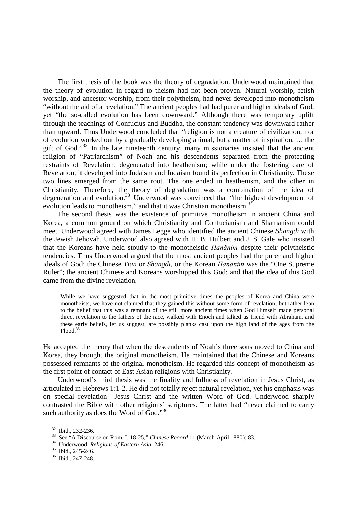The first thesis of the book was the theory of degradation. Underwood maintained that the theory of evolution in regard to theism had not been proven. Natural worship, fetish worship, and ancestor worship, from their polytheism, had never developed into monotheism "without the aid of a revelation." The ancient peoples had had purer and higher ideals of God, yet "the so-called evolution has been downward." Although there was temporary uplift through the teachings of Confucius and Buddha, the constant tendency was downward rather than upward. Thus Underwood concluded that "religion is not a creature of civilization, nor of evolution worked out by a gradually developing animal, but a matter of inspiration, … the gift of God."[32](#page-8-0) In the late nineteenth century, many missionaries insisted that the ancient religion of "Patriarchism" of Noah and his descendents separated from the protecting restraints of Revelation, degenerated into heathenism; while under the fostering care of Revelation, it developed into Judaism and Judaism found its perfection in Christianity. These two lines emerged from the same root. The one ended in heathenism, and the other in Christianity. Therefore, the theory of degradation was a combination of the idea of degeneration and evolution.<sup>[33](#page-8-1)</sup> Underwood was convinced that "the highest development of evolution leads to monotheism," and that it was Christian monotheism.<sup>[34](#page-8-2)</sup>

The second thesis was the existence of primitive monotheism in ancient China and Korea, a common ground on which Christianity and Confucianism and Shamanism could meet. Underwood agreed with James Legge who identified the ancient Chinese *Shangdi* with the Jewish Jehovah. Underwood also agreed with H. B. Hulbert and J. S. Gale who insisted that the Koreans have held stoutly to the monotheistic *Hanănim* despite their polytheistic tendencies. Thus Underwood argued that the most ancient peoples had the purer and higher ideals of God; the Chinese *Tian* or *Shangdi*, or the Korean *Hanănim* was the "One Supreme Ruler"; the ancient Chinese and Koreans worshipped this God; and that the idea of this God came from the divine revelation.

While we have suggested that in the most primitive times the peoples of Korea and China were monotheists, we have not claimed that they gained this without some form of revelation, but rather lean to the belief that this was a remnant of the still more ancient times when God Himself made personal direct revelation to the fathers of the race, walked with Enoch and talked as friend with Abraham, and these early beliefs, let us suggest, are possibly planks cast upon the high land of the ages from the Flood.[35](#page-8-3)

He accepted the theory that when the descendents of Noah's three sons moved to China and Korea, they brought the original monotheism. He maintained that the Chinese and Koreans possessed remnants of the original monotheism. He regarded this concept of monotheism as the first point of contact of East Asian religions with Christianity.

Underwood's third thesis was the finality and fullness of revelation in Jesus Christ, as articulated in Hebrews 1:1-2. He did not totally reject natural revelation, yet his emphasis was on special revelation—Jesus Christ and the written Word of God. Underwood sharply contrasted the Bible with other religions' scriptures. The latter had "never claimed to carry such authority as does the Word of God."<sup>[36](#page-8-4)</sup>

<span id="page-8-0"></span><sup>32</sup> Ibid., 232-236.

<span id="page-8-1"></span><sup>33</sup> See "A Discourse on Rom. I. 18-25," *Chinese Record* 11 (March-April 1880): 83.

<span id="page-8-2"></span><sup>34</sup> Underwood, *Religions of Eastern Asia*, 246.

<span id="page-8-3"></span><sup>35</sup> Ibid., 245-246.

<span id="page-8-4"></span><sup>36</sup> Ibid., 247-248.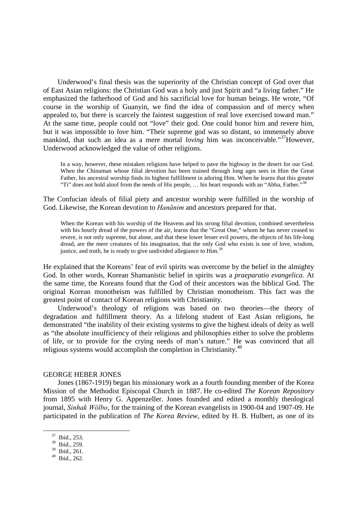Underwood's final thesis was the superiority of the Christian concept of God over that of East Asian religions: the Christian God was a holy and just Spirit and "a living father." He emphasized the fatherhood of God and his sacrificial love for human beings. He wrote, "Of course in the worship of Guanyin, we find the idea of compassion and of mercy when appealed to, but there is scarcely the faintest suggestion of real love exercised toward man." At the same time, people could not "love" their god. One could honor him and revere him, but it was impossible to *love* him. "Their supreme god was so distant, so immensely above mankind, that such an idea as a mere mortal *loving* him was inconceivable."<sup>[37](#page-9-0)</sup>However, Underwood acknowledged the value of other religions.

In a way, however, these mistaken religions have helped to pave the highway in the desert for our God. When the Chinaman whose filial devotion has been trained through long ages sees in Him the Great Father, his ancestral worship finds its highest fulfillment in adoring Him. When he learns that this greater "Ti" does not hold aloof from the needs of His people, ... his heart responds with an "Abba, Father."<sup>[38](#page-9-1)</sup>

The Confucian ideals of filial piety and ancestor worship were fulfilled in the worship of God. Likewise, the Korean devotion to *Hanănim* and ancestors prepared for that.

When the Korean with his worship of the Heavens and his strong filial devotion, combined nevertheless with his hourly dread of the powers of the air, learns that the "Great One," whom he has never ceased to revere, is not only supreme, but alone, and that these lower lesser evil powers, the objects of his life-long dread, are the mere creatures of his imagination, that the only God who exists is one of love, wisdom, justice,and truth, he is ready to give undivided allegiance to Him[.](#page-9-2)<sup>39</sup>

He explained that the Koreans' fear of evil spirits was overcome by the belief in the almighty God. In other words, Korean Shamanistic belief in spirits was a *praeparatio evangelica*. At the same time, the Koreans found that the God of their ancestors was the biblical God. The original Korean monotheism was fulfilled by Christian monotheism. This fact was the greatest point of contact of Korean religions with Christianity.

Underwood's theology of religions was based on two theories—the theory of degradation and fulfillment theory. As a lifelong student of East Asian religions, he demonstrated "the inability of their existing systems to give the highest ideals of deity as well as "the absolute insufficiency of their religious and philosophies either to solve the problems of life, or to provide for the crying needs of man's nature." He was convinced that all religious systems would accomplish the completion in Christianity.<sup>[40](#page-9-3)</sup>

#### GEORGE HEBER JONES

Jones (1867-1919) began his missionary work as a fourth founding member of the Korea Mission of the Methodist Episcopal Church in 1887. He co-edited *The Korean Repository* from 1895 with Henry G. Appenzeller. Jones founded and edited a monthly theological journal, *Sinhak Wŏlbo*, for the training of the Korean evangelists in 1900-04 and 1907-09. He participated in the publication of *The Korea Review*, edited by H. B. Hulbert, as one of its

<span id="page-9-0"></span><sup>37</sup> Ibid., 253.

<span id="page-9-1"></span><sup>38</sup> Ibid., 259.

<span id="page-9-2"></span><sup>39</sup> Ibid., 261.

<span id="page-9-3"></span><sup>40</sup> Ibid., 262.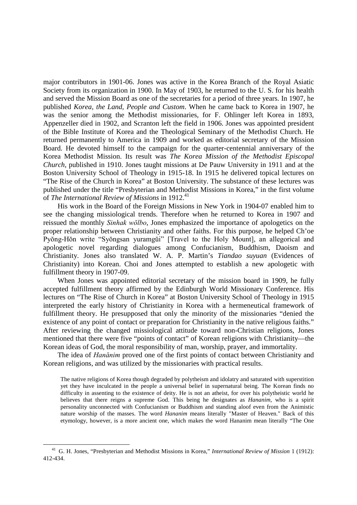major contributors in 1901-06. Jones was active in the Korea Branch of the Royal Asiatic Society from its organization in 1900. In May of 1903, he returned to the U. S. for his health and served the Mission Board as one of the secretaries for a period of three years. In 1907, he published *Korea, the Land, People and Custom*. When he came back to Korea in 1907, he was the senior among the Methodist missionaries, for F. Ohlinger left Korea in 1893, Appenzeller died in 1902, and Scranton left the field in 1906. Jones was appointed president of the Bible Institute of Korea and the Theological Seminary of the Methodist Church. He returned permanently to America in 1909 and worked as editorial secretary of the Mission Board. He devoted himself to the campaign for the quarter-centennial anniversary of the Korea Methodist Mission. Its result was *The Korea Mission of the Methodist Episcopal Church*, published in 1910. Jones taught missions at De Pauw University in 1911 and at the Boston University School of Theology in 1915-18. In 1915 he delivered topical lectures on "The Rise of the Church in Korea" at Boston University. The substance of these lectures was published under the title "Presbyterian and Methodist Missions in Korea," in the first volume of*The International Review of Missions* in 1912[.](#page-10-0)<sup>41</sup>

His work in the Board of the Foreign Missions in New York in 1904-07 enabled him to see the changing missiological trends. Therefore when he returned to Korea in 1907 and reissued the monthly *Sinhak wŏlbo*, Jones emphasized the importance of apologetics on the proper relationship between Christianity and other faiths. For this purpose, he helped Ch'oe Pyŏng-Hŏn write "Syŏngsan yuramgŭi" [Travel to the Holy Mount], an allegorical and apologetic novel regarding dialogues among Confucianism, Buddhism, Daoism and Christianity. Jones also translated W. A. P. Martin's *Tiandao suyuan* (Evidences of Christianity) into Korean. Choi and Jones attempted to establish a new apologetic with fulfillment theory in 1907-09.

When Jones was appointed editorial secretary of the mission board in 1909, he fully accepted fulfillment theory affirmed by the Edinburgh World Missionary Conference. His lectures on "The Rise of Church in Korea" at Boston University School of Theology in 1915 interpreted the early history of Christianity in Korea with a hermeneutical framework of fulfillment theory. He presupposed that only the minority of the missionaries "denied the existence of any point of contact or preparation for Christianity in the native religious faiths." After reviewing the changed missiological attitude toward non-Christian religions, Jones mentioned that there were five "points of contact" of Korean religions with Christianity—the Korean ideas of God, the moral responsibility of man, worship, prayer, and immortality.

The idea of *Hanănim* proved one of the first points of contact between Christianity and Korean religions, and was utilized by the missionaries with practical results.

The native religions of Korea though degraded by polytheism and idolatry and saturated with superstition yet they have inculcated in the people a universal belief in supernatural being. The Korean finds no difficulty in assenting to the existence of deity. He is not an atheist, for over his polytheistic world he believes that there reigns a supreme God. This being he designates as *Hananim*, who is a spirit personality unconnected with Confucianism or Buddhism and standing aloof even from the Animistic nature worship of the masses. The word *Hananim* means literally "Master of Heaven." Back of this etymology, however, is a more ancient one, which makes the word Hananim mean literally "The One

<span id="page-10-0"></span><sup>41</sup> G. H. Jones, "Presbyterian and Methodist Missions in Korea," *International Review of Mission* 1 (1912): 412-434.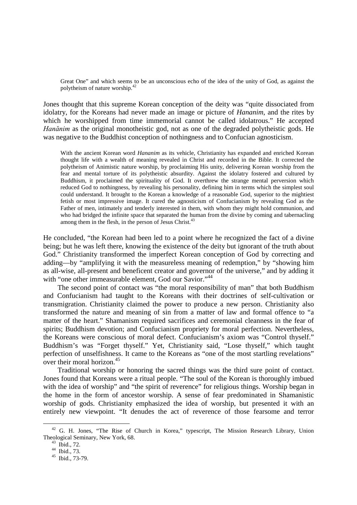Great One" and which seems to be an unconscious echo of the idea of the unity of God, as against the polytheism of nature worship.[42](#page-11-0)

Jones thought that this supreme Korean conception of the deity was "quite dissociated from idolatry, for the Koreans had never made an image or picture of *Hananim*, and the rites by which he worshipped from time immemorial cannot be called idolatrous." He accepted *Hanănim* as the original monotheistic god, not as one of the degraded polytheistic gods. He was negative to the Buddhist conception of nothingness and to Confucian agnosticism.

With the ancient Korean word *Hananim* as its vehicle, Christianity has expanded and enriched Korean thought life with a wealth of meaning revealed in Christ and recorded in the Bible. It corrected the polytheism of Animistic nature worship, by proclaiming His unity, delivering Korean worship from the fear and mental torture of its polytheistic absurdity. Against the idolatry fostered and cultured by Buddhism, it proclaimed the spirituality of God. It overthrew the strange mental perversion which reduced God to nothingness, by revealing his personality, defining him in terms which the simplest soul could understand. It brought to the Korean a knowledge of a reasonable God, superior to the mightiest fetish or most impressive image. It cured the agnosticism of Confucianism by revealing God as the Father of men, intimately and tenderly interested in them, with whom they might hold communion, and who had bridged the infinite space that separated the human from the divine by coming and tabernacling among them in the flesh, in the person of Jesus Christ.<sup>[43](#page-11-1)</sup>

He concluded, "the Korean had been led to a point where he recognized the fact of a divine being; but he was left there, knowing the existence of the deity but ignorant of the truth about God." Christianity transformed the imperfect Korean conception of God by correcting and adding—by "amplifying it with the measureless meaning of redemption," by "showing him as all-wise, all-present and beneficent creator and governor of the universe," and by adding it with "one other immeasurable element, God our Savior."<sup>[44](#page-11-2)</sup>

The second point of contact was "the moral responsibility of man" that both Buddhism and Confucianism had taught to the Koreans with their doctrines of self-cultivation or transmigration. Christianity claimed the power to produce a new person. Christianity also transformed the nature and meaning of sin from a matter of law and formal offence to "a matter of the heart." Shamanism required sacrifices and ceremonial cleanness in the fear of spirits; Buddhism devotion; and Confucianism propriety for moral perfection. Nevertheless, the Koreans were conscious of moral defect. Confucianism's axiom was "Control thyself." Buddhism's was "Forget thyself." Yet, Christianity said, "Lose thyself," which taught perfection of unselfishness. It came to the Koreans as "one of the most startling revelations" over their moral horizon.<sup>[45](#page-11-3)</sup>

Traditional worship or honoring the sacred things was the third sure point of contact. Jones found that Koreans were a ritual people. "The soul of the Korean is thoroughly imbued with the idea of worship" and "the spirit of reverence" for religious things. Worship began in the home in the form of ancestor worship. A sense of fear predominated in Shamanistic worship of gods. Christianity emphasized the idea of worship, but presented it with an entirely new viewpoint. "It denudes the act of reverence of those fearsome and terror

<span id="page-11-0"></span><sup>&</sup>lt;sup>42</sup> G. H. Jones, "The Rise of Church in Korea," typescript, The Mission Research Library, Union Theological Seminary, New York, 68.

<span id="page-11-1"></span><sup>43</sup> Ibid., 72.

<span id="page-11-2"></span> $^{44}$  Ibid., 73.

<span id="page-11-3"></span> $45$  Ibid., 73-79.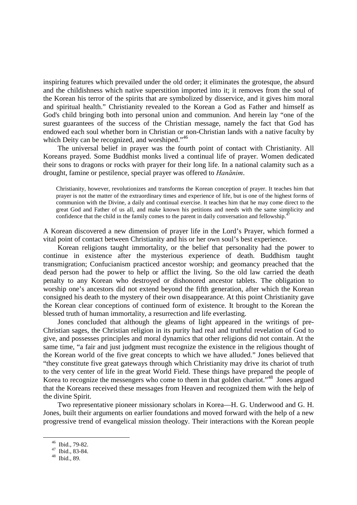inspiring features which prevailed under the old order; it eliminates the grotesque, the absurd and the childishness which native superstition imported into it; it removes from the soul of the Korean his terror of the spirits that are symbolized by disservice, and it gives him moral and spiritual health." Christianity revealed to the Korean a God as Father and himself as God's child bringing both into personal union and communion. And herein lay "one of the surest guarantees of the success of the Christian message, namely the fact that God has endowed each soul whether born in Christian or non-Christian lands with a native faculty by which Deity can be recognized, and worshiped."<sup>[46](#page-12-0)</sup>

The universal belief in prayer was the fourth point of contact with Christianity. All Koreans prayed. Some Buddhist monks lived a continual life of prayer. Women dedicated their sons to dragons or rocks with prayer for their long life. In a national calamity such as a drought, famine or pestilence, special prayer was offered to *Hanănim*.

Christianity, however, revolutionizes and transforms the Korean conception of prayer. It teaches him that prayer is not the matter of the extraordinary times and experience of life, but is one of the highest forms of communion with the Divine, a daily and continual exercise. It teaches him that he may come direct to the great God and Father of us all, and make known his petitions and needs with the same simplicity and confidence that the child in the family comes to the parent in daily conversation and fellowship.<sup>4</sup>

A Korean discovered a new dimension of prayer life in the Lord's Prayer, which formed a vital point of contact between Christianity and his or her own soul's best experience.

Korean religions taught immortality, or the belief that personality had the power to continue in existence after the mysterious experience of death. Buddhism taught transmigration; Confucianism practiced ancestor worship; and geomancy preached that the dead person had the power to help or afflict the living. So the old law carried the death penalty to any Korean who destroyed or dishonored ancestor tablets. The obligation to worship one's ancestors did not extend beyond the fifth generation, after which the Korean consigned his death to the mystery of their own disappearance. At this point Christianity gave the Korean clear conceptions of continued form of existence. It brought to the Korean the blessed truth of human immortality, a resurrection and life everlasting.

Jones concluded that although the gleams of light appeared in the writings of pre-Christian sages, the Christian religion in its purity had real and truthful revelation of God to give, and possesses principles and moral dynamics that other religions did not contain. At the same time, "a fair and just judgment must recognize the existence in the religious thought of the Korean world of the five great concepts to which we have alluded." Jones believed that "they constitute five great gateways through which Christianity may drive its chariot of truth to the very center of life in the great World Field. These things have prepared the people of Korea to recognize the messengers who come to them in that golden chariot."<sup>[48](#page-12-2)</sup> Jones argued that the Koreans received these messages from Heaven and recognized them with the help of the divine Spirit.

Two representative pioneer missionary scholars in Korea—H. G. Underwood and G. H. Jones, built their arguments on earlier foundations and moved forward with the help of a new progressive trend of evangelical mission theology. Their interactions with the Korean people

<span id="page-12-0"></span><sup>46</sup> Ibid., 79-82.

<span id="page-12-1"></span> $47$  Ibid., 83-84.

<span id="page-12-2"></span> $48$  Ibid., 89.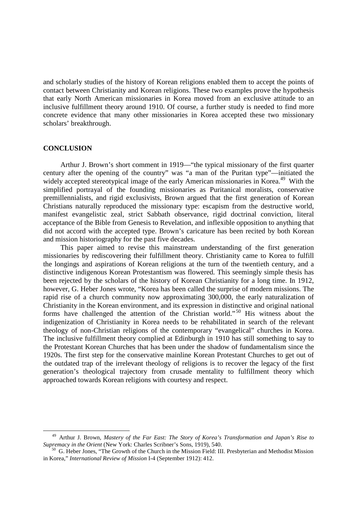and scholarly studies of the history of Korean religions enabled them to accept the points of contact between Christianity and Korean religions. These two examples prove the hypothesis that early North American missionaries in Korea moved from an exclusive attitude to an inclusive fulfillment theory around 1910. Of course, a further study is needed to find more concrete evidence that many other missionaries in Korea accepted these two missionary scholars' breakthrough.

#### **CONCLUSION**

Arthur J. Brown's short comment in 1919—"the typical missionary of the first quarter century after the opening of the country" was "a man of the Puritan type"—initiated the widely accepted stereotypical image of the early American missionaries in Korea.<sup>[49](#page-13-0)</sup> With the simplified portrayal of the founding missionaries as Puritanical moralists, conservative premillennialists, and rigid exclusivists, Brown argued that the first generation of Korean Christians naturally reproduced the missionary type: escapism from the destructive world, manifest evangelistic zeal, strict Sabbath observance, rigid doctrinal conviction, literal acceptance of the Bible from Genesis to Revelation, and inflexible opposition to anything that did not accord with the accepted type. Brown's caricature has been recited by both Korean and mission historiography for the past five decades.

This paper aimed to revise this mainstream understanding of the first generation missionaries by rediscovering their fulfillment theory. Christianity came to Korea to fulfill the longings and aspirations of Korean religions at the turn of the twentieth century, and a distinctive indigenous Korean Protestantism was flowered. This seemingly simple thesis has been rejected by the scholars of the history of Korean Christianity for a long time. In 1912, however, G. Heber Jones wrote, "Korea has been called the surprise of modern missions. The rapid rise of a church community now approximating 300,000, the early naturalization of Christianity in the Korean environment, and its expression in distinctive and original national forms have challenged the attention of the Christian world."<sup>[50](#page-13-1)</sup> His witness about the indigenization of Christianity in Korea needs to be rehabilitated in search of the relevant theology of non-Christian religions of the contemporary "evangelical" churches in Korea. The inclusive fulfillment theory complied at Edinburgh in 1910 has still something to say to the Protestant Korean Churches that has been under the shadow of fundamentalism since the 1920s. The first step for the conservative mainline Korean Protestant Churches to get out of the outdated trap of the irrelevant theology of religions is to recover the legacy of the first generation's theological trajectory from crusade mentality to fulfillment theory which approached towards Korean religions with courtesy and respect.

<span id="page-13-0"></span><sup>49</sup> Arthur J. Brown, *Mastery of the Far East: The Story of Korea's Transformation and Japan's Rise to Supremacy in the Orient* (New York: Charles Scribner's Sons, 1919), 540.

<span id="page-13-1"></span> $50\,$  G. Heber Jones, "The Growth of the Church in the Mission Field: III. Presbyterian and Methodist Mission in Korea," *International Review of Mission* I-4 (September 1912): 412.